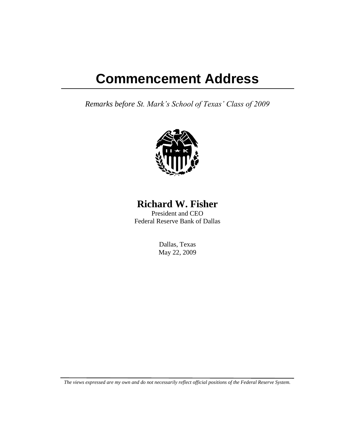## **Commencement Address**

*Remarks before St. Mark's School of Texas' Class of 2009*



## **Richard W. Fisher**

President and CEO Federal Reserve Bank of Dallas

> Dallas, Texas May 22, 2009

*The views expressed are my own and do not necessarily reflect official positions of the Federal Reserve System.*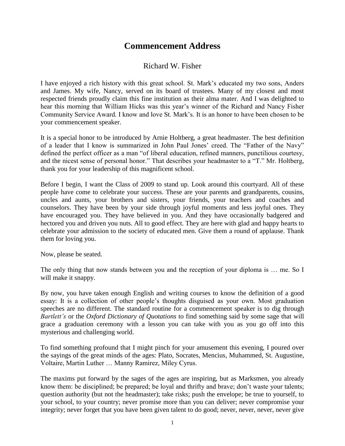## **Commencement Address**

## Richard W. Fisher

I have enjoyed a rich history with this great school. St. Mark's educated my two sons, Anders and James. My wife, Nancy, served on its board of trustees. Many of my closest and most respected friends proudly claim this fine institution as their alma mater. And I was delighted to hear this morning that William Hicks was this year's winner of the Richard and Nancy Fisher Community Service Award. I know and love St. Mark's. It is an honor to have been chosen to be your commencement speaker.

It is a special honor to be introduced by Arnie Holtberg, a great headmaster. The best definition of a leader that I know is summarized in John Paul Jones' creed. The "Father of the Navy" defined the perfect officer as a man "of liberal education, refined manners, punctilious courtesy, and the nicest sense of personal honor." That describes your headmaster to a "T." Mr. Holtberg, thank you for your leadership of this magnificent school.

Before I begin, I want the Class of 2009 to stand up. Look around this courtyard. All of these people have come to celebrate your success. These are your parents and grandparents, cousins, uncles and aunts, your brothers and sisters, your friends, your teachers and coaches and counselors. They have been by your side through joyful moments and less joyful ones. They have encouraged you. They have believed in you. And they have occasionally badgered and hectored you and driven you nuts. All to good effect. They are here with glad and happy hearts to celebrate your admission to the society of educated men. Give them a round of applause. Thank them for loving you.

Now, please be seated.

The only thing that now stands between you and the reception of your diploma is … me. So I will make it snappy.

By now, you have taken enough English and writing courses to know the definition of a good essay: It is a collection of other people's thoughts disguised as your own. Most graduation speeches are no different. The standard routine for a commencement speaker is to dig through *Bartlett's* or the *Oxford Dictionary of Quotations* to find something said by some sage that will grace a graduation ceremony with a lesson you can take with you as you go off into this mysterious and challenging world.

To find something profound that I might pinch for your amusement this evening, I poured over the sayings of the great minds of the ages: Plato, Socrates, Mencius, Muhammed, St. Augustine, Voltaire, Martin Luther … Manny Ramirez, Miley Cyrus.

The maxims put forward by the sages of the ages are inspiring, but as Marksmen, you already know them: be disciplined; be prepared; be loyal and thrifty and brave; don't waste your talents; question authority (but not the headmaster); take risks; push the envelope; be true to yourself, to your school, to your country; never promise more than you can deliver; never compromise your integrity; never forget that you have been given talent to do good; never, never, never, never give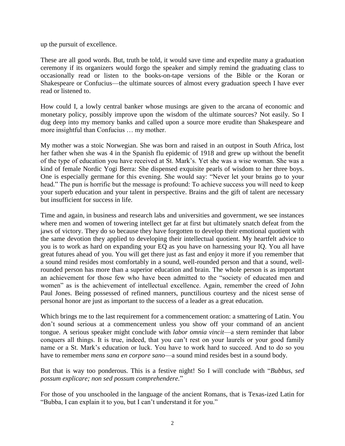up the pursuit of excellence.

These are all good words. But, truth be told, it would save time and expedite many a graduation ceremony if its organizers would forgo the speaker and simply remind the graduating class to occasionally read or listen to the books-on-tape versions of the Bible or the Koran or Shakespeare or Confucius—the ultimate sources of almost every graduation speech I have ever read or listened to.

How could I, a lowly central banker whose musings are given to the arcana of economic and monetary policy, possibly improve upon the wisdom of the ultimate sources? Not easily. So I dug deep into my memory banks and called upon a source more erudite than Shakespeare and more insightful than Confucius … my mother.

My mother was a stoic Norwegian. She was born and raised in an outpost in South Africa, lost her father when she was 4 in the Spanish flu epidemic of 1918 and grew up without the benefit of the type of education you have received at St. Mark's. Yet she was a wise woman. She was a kind of female Nordic Yogi Berra: She dispensed exquisite pearls of wisdom to her three boys. One is especially germane for this evening. She would say: "Never let your brains go to your head." The pun is horrific but the message is profound: To achieve success you will need to keep your superb education and your talent in perspective. Brains and the gift of talent are necessary but insufficient for success in life.

Time and again, in business and research labs and universities and government, we see instances where men and women of towering intellect get far at first but ultimately snatch defeat from the jaws of victory. They do so because they have forgotten to develop their emotional quotient with the same devotion they applied to developing their intellectual quotient. My heartfelt advice to you is to work as hard on expanding your EQ as you have on harnessing your IQ. You all have great futures ahead of you. You will get there just as fast and enjoy it more if you remember that a sound mind resides most comfortably in a sound, well-rounded person and that a sound, wellrounded person has more than a superior education and brain. The whole person is as important an achievement for those few who have been admitted to the "society of educated men and women" as is the achievement of intellectual excellence. Again, remember the creed of John Paul Jones. Being possessed of refined manners, punctilious courtesy and the nicest sense of personal honor are just as important to the success of a leader as a great education.

Which brings me to the last requirement for a commencement oration: a smattering of Latin. You don't sound serious at a commencement unless you show off your command of an ancient tongue. A serious speaker might conclude with *labor omnia vincit*—a stern reminder that labor conquers all things. It is true, indeed, that you can't rest on your laurels or your good family name or a St. Mark's education or luck. You have to work hard to succeed. And to do so you have to remember *mens sana en corpore sano*—a sound mind resides best in a sound body.

But that is way too ponderous. This is a festive night! So I will conclude with "*Bubbus, sed possum explicare; non sed possum comprehendere.*"

For those of you unschooled in the language of the ancient Romans, that is Texas-ized Latin for "Bubba, I can explain it to you, but I can't understand it for you."